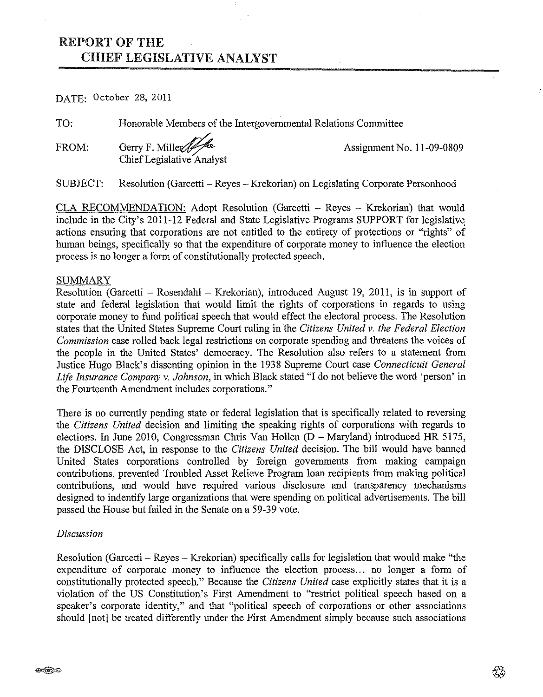# REPORT OF THE CHIEF LEGISLATIVE ANALYST

DATE: October 28, 2011

TO: Honorable Members of the Intergovernmental Relations Committee

FROM: Gerry F. Mille $\sqrt{\frac{2}{n}}$  Assignment No. 11-09-0809 Chief Legislative Analyst

SUBJECT: Resolution (Garcetti- Reyes -Krekorian) on Legislating Corporate Personhood

CLA RECOMMENDATION: Adopt Resolution (Garcetti - Reyes - Krekorian) that would include in the City's 2011-12 Federal and State Legislative Programs SUPPORT for legislative actions ensuring that corporations are not entitled to the entirety of protections or "rights" of human beings, specifically so that the expenditure of corporate money to influence the election process is no longer a form of constitutionally protected speech.

#### **SUMMARY**

Resolution (Garcetti - Rosendahl - Krekorian), introduced August 19, 2011, is in support of state and federal legislation that would limit the rights of corporations in regards to using corporate money to fund political speech that would effect the electoral process. The Resolution states that the United States Supreme Court ruling in the *Citizens United* v. *the Federal Election Commission* case rolled back legal restrictions on corporate spending and threatens the voices of the people in the United States' democracy. The Resolution also refers to a statement from Justice Hugo Black's dissenting opinion in the 1938 Supreme Court case *Connecticuit General Life Insurance Company* v. *Johnson,* in which Black stated "I do not believe the word 'person' in the Fourteenth Amendment includes corporations."

There is no currently pending state or federal legislation that is specifically related to reversing the *Citizens United* decision and limiting the speaking rights of corporations with regards to elections. In June 2010, Congressman Chris Van Hollen (D- Maryland) introduced HR 5175, the DISCLOSE Act, in response to the *Citizens United* decision. The bill would have banned United States corporations controlled by foreign governments from making campaign contributions, prevented Troubled Asset Relieve Program loan recipients from making political contributions, and would have required various disclosure and transparency mechanisms designed to indentify large organizations that were spending on political advertisements. The bill passed the House but failed in the Senate on a 59-39 vote.

### *Discussion*

Resolution (Garcetti - Reyes- Krekorian) specifically calls for legislation that would make "the expenditure of corporate money to influence the election process... no longer a form of constitutionally protected speech." Because the *Citizens United* case explicitly states that it is a violation of the US Constitution's First Amendment to "restrict political speech based on a speaker's corporate identity," and that "political speech of corporations or other associations should [not] be treated differently under the First Amendment simply because such associations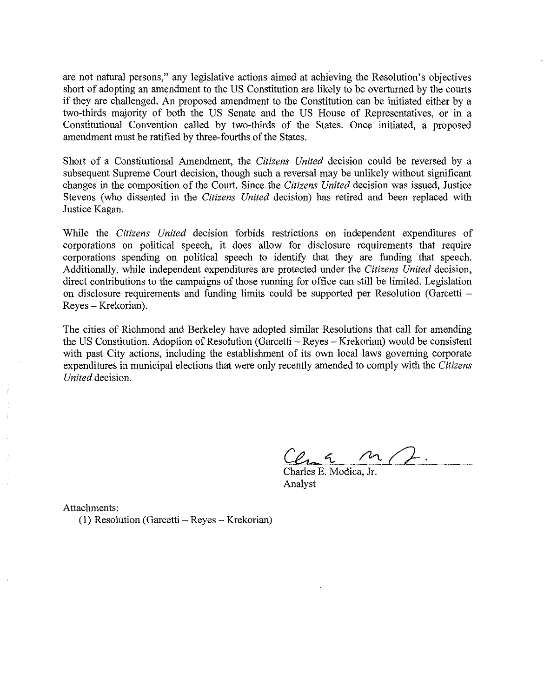are not natural persons," any legislative actions aimed at achieving the Resolution's objectives short of adopting an amendment to the US Constitution are likely to be overturned by the courts if they are challenged. An proposed amendment to the Constitution can be initiated either by a two-thirds majority of both the US Senate and the US House of Representatives, or in a Constitutional Convention called by two-thirds of the States. Once initiated, a proposed amendment must be ratified by three-fourths of the States.

Short of a Constitutional Amendment, the *Citizens United* decision could be reversed by a subsequent Supreme Court decision, though such a reversal may be unlikely without significant changes in the composition of the Court. Since the *Citizens United* decision was issued, Justice Stevens (who dissented in the *Citizens United* decision) has retired and been replaced with Justice Kagan.

While the *Citizens United* decision forbids restrictions on independent expenditures of corporations on political speech, it does allow for disclosure requirements that require corporations spending on political speech to identify that they are funding that speech. Additionally, while independent expenditures are protected under the *Citizens United* decision, direct contributions to the campaigns of those running for office can still be limited. Legislation on disclosure requirements and funding limits could be supported per Resolution (Garcetti - Reyes- Krekorian).

The cities of Richmond and Berkeley have adopted similar Resolutions that call for amending the US Constitution. Adoption of Resolution (Garcetti - Reyes - Krekorian) would be consistent with past City actions, including the establishment of its own local laws governing corporate expenditures in municipal elections that were only recently amended to comply with the *Citizens United* decision.

Charles E. Modica, Jr. Analyst

Attachments:

(1) Resolution (Garcetti- Reyes- Krekorian)